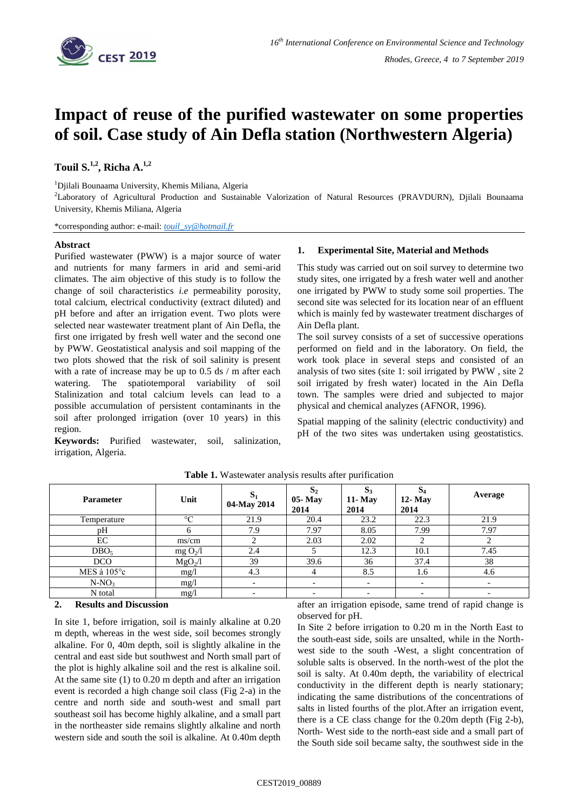

# **Impact of reuse of the purified wastewater on some properties of soil. Case study of Ain Defla station (Northwestern Algeria)**

# **Touil S. 1,2 , Richa A. 1,2**

<sup>1</sup>Djilali Bounaama University, Khemis Miliana, Algeria

<sup>2</sup>Laboratory of Agricultural Production and Sustainable Valorization of Natural Resources (PRAVDURN), Djilali Bounaama University, Khemis Miliana, Algeria

\*corresponding author: e-mail: *[touil\\_sy@hotmail.fr](mailto:touil_sy@hotmail.fr)*

### **Abstract**

Purified wastewater (PWW) is a major source of water and nutrients for many farmers in arid and semi-arid climates. The aim objective of this study is to follow the change of soil characteristics *i.e* permeability porosity, total calcium, electrical conductivity (extract diluted) and pH before and after an irrigation event. Two plots were selected near wastewater treatment plant of Ain Defla, the first one irrigated by fresh well water and the second one by PWW. Geostatistical analysis and soil mapping of the two plots showed that the risk of soil salinity is present with a rate of increase may be up to 0.5 ds / m after each watering. The spatiotemporal variability of soil Stalinization and total calcium levels can lead to a possible accumulation of persistent contaminants in the soil after prolonged irrigation (over 10 years) in this region.

**Keywords:** Purified wastewater, soil, salinization, irrigation, Algeria.

## **1. Experimental Site, Material and Methods**

This study was carried out on soil survey to determine two study sites, one irrigated by a fresh water well and another one irrigated by PWW to study some soil properties. The second site was selected for its location near of an effluent which is mainly fed by wastewater treatment discharges of Ain Defla plant.

The soil survey consists of a set of successive operations performed on field and in the laboratory. On field, the work took place in several steps and consisted of an analysis of two sites (site 1: soil irrigated by PWW , site 2 soil irrigated by fresh water) located in the Ain Defla town. The samples were dried and subjected to major physical and chemical analyzes (AFNOR, 1996).

Spatial mapping of the salinity (electric conductivity) and pH of the two sites was undertaken using geostatistics.

| <b>Parameter</b>      | Unit                 | $S_1$<br>04-May 2014 | Q<br>D <sub>2</sub><br>05-May<br>2014 | $S_3$<br>$11 -$ May<br>2014 | $S_4$<br>$12 -$ May<br>2014 | Average                  |
|-----------------------|----------------------|----------------------|---------------------------------------|-----------------------------|-----------------------------|--------------------------|
| Temperature           | $\rm ^{\circ}C$      | 21.9                 | 20.4                                  | 23.2                        | 22.3                        | 21.9                     |
| pН                    |                      | 7.9                  | 7.97                                  | 8.05                        | 7.99                        | 7.97                     |
| EC                    | ms/cm                |                      | 2.03                                  | 2.02                        |                             |                          |
| DBO <sub>5</sub>      | mg O <sub>2</sub> /l | 2.4                  |                                       | 12.3                        | 10.1                        | 7.45                     |
| <b>DCO</b>            | $MgO_2/l$            | 39                   | 39.6                                  | 36                          | 37.4                        | 38                       |
| MES à $105^{\circ}$ c | mg/1                 | 4.3                  |                                       | 8.5                         | 1.6                         | 4.6                      |
| $N-NO3$               | mg/1                 |                      | $\overline{\phantom{0}}$              | $\overline{\phantom{0}}$    |                             | $\overline{\phantom{a}}$ |
| N total               | mg/1                 |                      |                                       |                             |                             |                          |

**Table 1.** Wastewater analysis results after purification

## **2. Results and Discussion**

In site 1, before irrigation, soil is mainly alkaline at 0.20 m depth, whereas in the west side, soil becomes strongly alkaline. For 0, 40m depth, soil is slightly alkaline in the central and east side but southwest and North small part of the plot is highly alkaline soil and the rest is alkaline soil. At the same site (1) to 0.20 m depth and after an irrigation event is recorded a high change soil class (Fig 2-a) in the centre and north side and south-west and small part southeast soil has become highly alkaline, and a small part in the northeaster side remains slightly alkaline and north western side and south the soil is alkaline. At 0.40m depth after an irrigation episode, same trend of rapid change is observed for pH.

In Site 2 before irrigation to 0.20 m in the North East to the south-east side, soils are unsalted, while in the Northwest side to the south -West, a slight concentration of soluble salts is observed. In the north-west of the plot the soil is salty. At 0.40m depth, the variability of electrical conductivity in the different depth is nearly stationary; indicating the same distributions of the concentrations of salts in listed fourths of the plot.After an irrigation event, there is a CE class change for the 0.20m depth (Fig 2-b), North- West side to the north-east side and a small part of the South side soil became salty, the southwest side in the